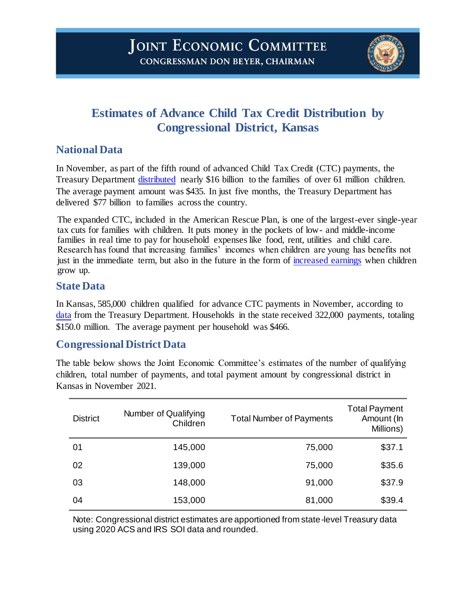

# **Estimates of Advance Child Tax Credit Distribution by Congressional District, Kansas**

## **National Data**

In November, as part of the fifth round of advanced Child Tax Credit (CTC) payments, the Treasury Department [distributed](https://home.treasury.gov/system/files/131/Advance-CTC-Payments-Disbursed-November-2021-by-State-11162021.pdf) nearly \$16 billion to the families of over 61 million children. The average payment amount was \$435. In just five months, the Treasury Department has delivered \$77 billion to families across the country.

The expanded CTC, included in the American Rescue Plan, is one of the largest-ever single-year tax cuts for families with children. It puts money in the pockets of low- and middle-income families in real time to pay for household expenses like food, rent, utilities and child care. Research has found that increasing families' incomes when children are young has benefits not just in the immediate term, but also in the future in the form of [increased earnings](https://www.jstor.org/stable/40598980?seq=1#metadata_info_tab_contents) when children grow up.

#### **State Data**

In Kansas, 585,000 children qualified for advance CTC payments in November, according to [data](https://home.treasury.gov/news/press-releases/jy0411) from the Treasury Department. Households in the state received 322,000 payments, totaling \$150.0 million. The average payment per household was \$466.

### **Congressional District Data**

The table below shows the Joint Economic Committee's estimates of the number of qualifying children, total number of payments, and total payment amount by congressional district in Kansas in November 2021.

| <b>District</b> | Number of Qualifying<br>Children | <b>Total Number of Payments</b> | <b>Total Payment</b><br>Amount (In<br>Millions) |
|-----------------|----------------------------------|---------------------------------|-------------------------------------------------|
| 01              | 145,000                          | 75,000                          | \$37.1                                          |
| 02              | 139,000                          | 75,000                          | \$35.6                                          |
| 03              | 148,000                          | 91,000                          | \$37.9                                          |
| 04              | 153,000                          | 81,000                          | \$39.4                                          |

Note: Congressional district estimates are apportioned from state-level Treasury data using 2020 ACS and IRS SOI data and rounded.